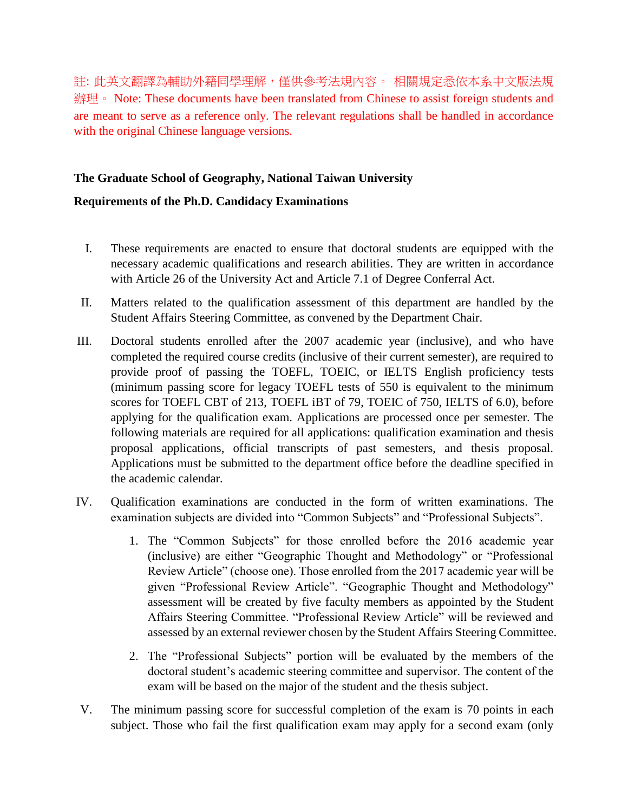註: 此英文翻譯為輔助外籍同學理解,僅供參考法規內容。 相關規定悉依本系中文版法規 辦理。 Note: These documents have been translated from Chinese to assist foreign students and are meant to serve as a reference only. The relevant regulations shall be handled in accordance with the original Chinese language versions.

## **The Graduate School of Geography, National Taiwan University**

## **Requirements of the Ph.D. Candidacy Examinations**

- I. These requirements are enacted to ensure that doctoral students are equipped with the necessary academic qualifications and research abilities. They are written in accordance with Article 26 of the University Act and Article 7.1 of Degree Conferral Act.
- II. Matters related to the qualification assessment of this department are handled by the Student Affairs Steering Committee, as convened by the Department Chair.
- III. Doctoral students enrolled after the 2007 academic year (inclusive), and who have completed the required course credits (inclusive of their current semester), are required to provide proof of passing the TOEFL, TOEIC, or IELTS English proficiency tests (minimum passing score for legacy TOEFL tests of 550 is equivalent to the minimum scores for TOEFL CBT of 213, TOEFL iBT of 79, TOEIC of 750, IELTS of 6.0), before applying for the qualification exam. Applications are processed once per semester. The following materials are required for all applications: qualification examination and thesis proposal applications, official transcripts of past semesters, and thesis proposal. Applications must be submitted to the department office before the deadline specified in the academic calendar.
- IV. Qualification examinations are conducted in the form of written examinations. The examination subjects are divided into "Common Subjects" and "Professional Subjects".
	- 1. The "Common Subjects" for those enrolled before the 2016 academic year (inclusive) are either "Geographic Thought and Methodology" or "Professional Review Article" (choose one). Those enrolled from the 2017 academic year will be given "Professional Review Article". "Geographic Thought and Methodology" assessment will be created by five faculty members as appointed by the Student Affairs Steering Committee. "Professional Review Article" will be reviewed and assessed by an external reviewer chosen by the Student Affairs Steering Committee.
	- 2. The "Professional Subjects" portion will be evaluated by the members of the doctoral student's academic steering committee and supervisor. The content of the exam will be based on the major of the student and the thesis subject.
- V. The minimum passing score for successful completion of the exam is 70 points in each subject. Those who fail the first qualification exam may apply for a second exam (only